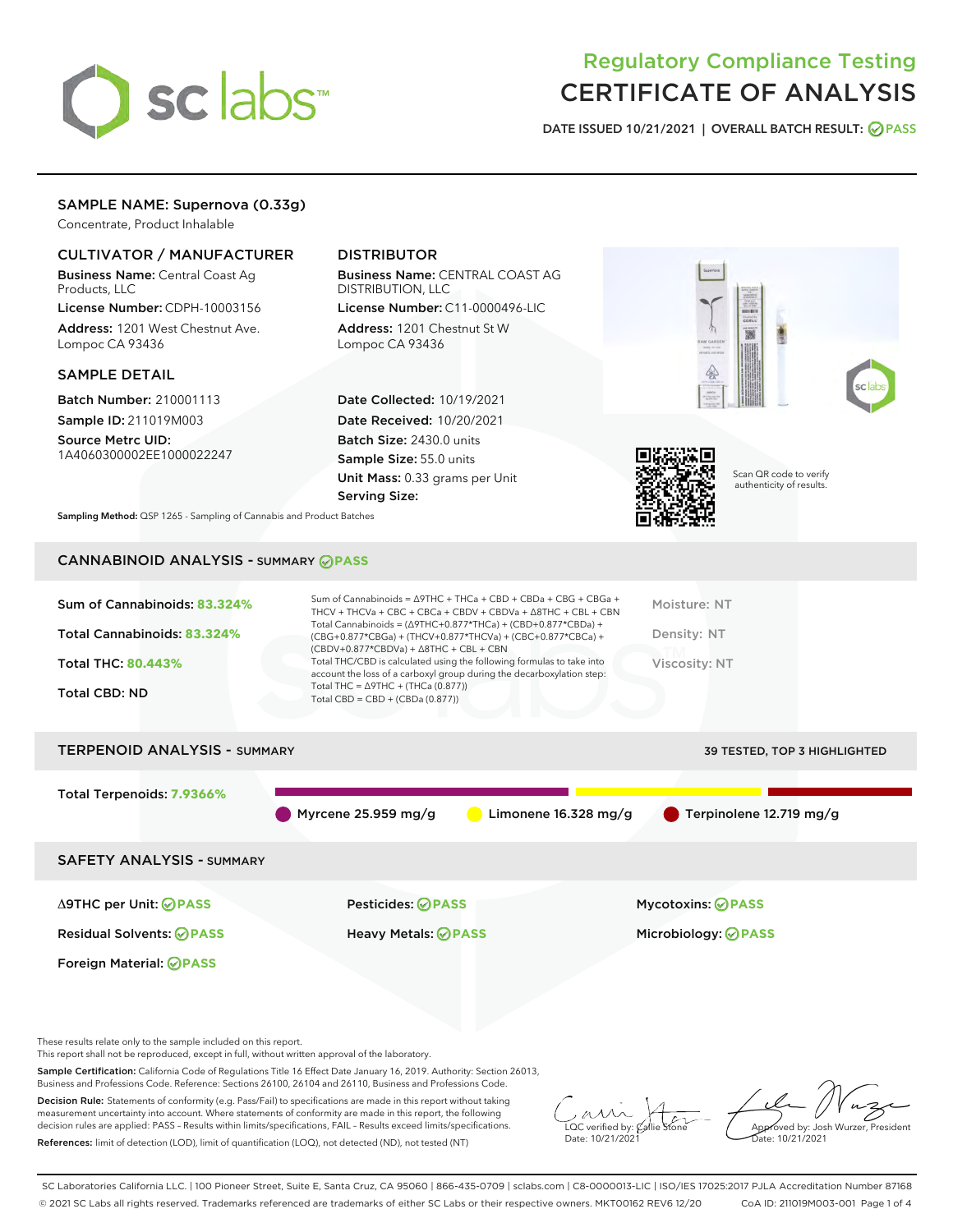

## Regulatory Compliance Testing CERTIFICATE OF ANALYSIS

DATE ISSUED 10/21/2021 | OVERALL BATCH RESULT: @ PASS

## SAMPLE NAME: Supernova (0.33g)

Concentrate, Product Inhalable

## CULTIVATOR / MANUFACTURER

Business Name: Central Coast Ag Products, LLC

License Number: CDPH-10003156 Address: 1201 West Chestnut Ave. Lompoc CA 93436

#### SAMPLE DETAIL

Batch Number: 210001113 Sample ID: 211019M003

Source Metrc UID: 1A4060300002EE1000022247

## DISTRIBUTOR

Business Name: CENTRAL COAST AG DISTRIBUTION, LLC License Number: C11-0000496-LIC

Address: 1201 Chestnut St W Lompoc CA 93436

Date Collected: 10/19/2021 Date Received: 10/20/2021 Batch Size: 2430.0 units Sample Size: 55.0 units Unit Mass: 0.33 grams per Unit Serving Size:





Scan QR code to verify authenticity of results.

Sampling Method: QSP 1265 - Sampling of Cannabis and Product Batches

## CANNABINOID ANALYSIS - SUMMARY **PASS**

| Sum of Cannabinoids: 83.324%<br>Total Cannabinoids: 83.324%<br><b>Total THC: 80.443%</b><br>Total CBD: ND | Sum of Cannabinoids = $\triangle$ 9THC + THCa + CBD + CBDa + CBG + CBGa +<br>THCV + THCVa + CBC + CBCa + CBDV + CBDVa + $\Delta$ 8THC + CBL + CBN<br>Total Cannabinoids = $(\Delta$ 9THC+0.877*THCa) + (CBD+0.877*CBDa) +<br>$(CBG+0.877*CBGa) + (THCV+0.877*THCVa) + (CBC+0.877*CBCa) +$<br>$(CBDV+0.877*CBDVa) + \Delta 8THC + CBL + CBN$<br>Total THC/CBD is calculated using the following formulas to take into<br>account the loss of a carboxyl group during the decarboxylation step:<br>Total THC = $\triangle$ 9THC + (THCa (0.877))<br>Total CBD = $CBD + (CBDa (0.877))$ | Moisture: NT<br>Density: NT<br>Viscosity: NT |
|-----------------------------------------------------------------------------------------------------------|--------------------------------------------------------------------------------------------------------------------------------------------------------------------------------------------------------------------------------------------------------------------------------------------------------------------------------------------------------------------------------------------------------------------------------------------------------------------------------------------------------------------------------------------------------------------------------------|----------------------------------------------|
| ------------------                                                                                        |                                                                                                                                                                                                                                                                                                                                                                                                                                                                                                                                                                                      |                                              |

# TERPENOID ANALYSIS - SUMMARY 39 TESTED, TOP 3 HIGHLIGHTED Total Terpenoids: **7.9366%** Myrcene 25.959 mg/g  $\bigcirc$  Limonene 16.328 mg/g  $\bigcirc$  Terpinolene 12.719 mg/g SAFETY ANALYSIS - SUMMARY

Foreign Material: **PASS**

Δ9THC per Unit: **PASS** Pesticides: **PASS** Mycotoxins: **PASS**

Residual Solvents: **PASS** Heavy Metals: **PASS** Microbiology: **PASS**

These results relate only to the sample included on this report.

This report shall not be reproduced, except in full, without written approval of the laboratory.

Sample Certification: California Code of Regulations Title 16 Effect Date January 16, 2019. Authority: Section 26013, Business and Professions Code. Reference: Sections 26100, 26104 and 26110, Business and Professions Code.

Decision Rule: Statements of conformity (e.g. Pass/Fail) to specifications are made in this report without taking measurement uncertainty into account. Where statements of conformity are made in this report, the following decision rules are applied: PASS – Results within limits/specifications, FAIL – Results exceed limits/specifications. References: limit of detection (LOD), limit of quantification (LOQ), not detected (ND), not tested (NT)

 $\overline{\text{LOC}}$  verified by:  $\mathcal C$ Date: 10/21/2021

Aved by: Josh Wurzer, President Date: 10/21/2021

SC Laboratories California LLC. | 100 Pioneer Street, Suite E, Santa Cruz, CA 95060 | 866-435-0709 | sclabs.com | C8-0000013-LIC | ISO/IES 17025:2017 PJLA Accreditation Number 87168 © 2021 SC Labs all rights reserved. Trademarks referenced are trademarks of either SC Labs or their respective owners. MKT00162 REV6 12/20 CoA ID: 211019M003-001 Page 1 of 4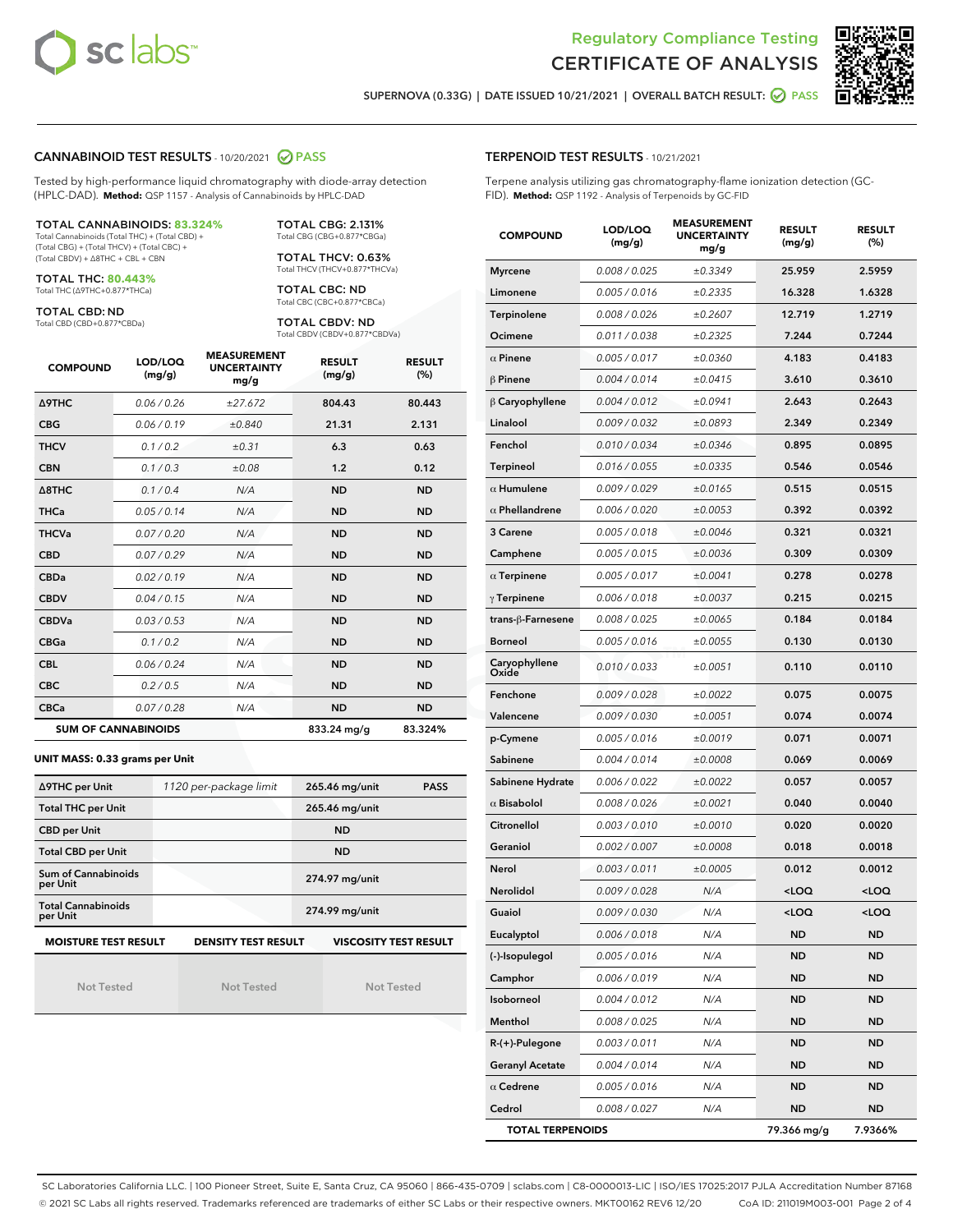



SUPERNOVA (0.33G) | DATE ISSUED 10/21/2021 | OVERALL BATCH RESULT: **○** PASS

#### CANNABINOID TEST RESULTS - 10/20/2021 2 PASS

Tested by high-performance liquid chromatography with diode-array detection (HPLC-DAD). **Method:** QSP 1157 - Analysis of Cannabinoids by HPLC-DAD

#### TOTAL CANNABINOIDS: **83.324%**

Total Cannabinoids (Total THC) + (Total CBD) + (Total CBG) + (Total THCV) + (Total CBC) + (Total CBDV) + ∆8THC + CBL + CBN

TOTAL THC: **80.443%** Total THC (∆9THC+0.877\*THCa)

TOTAL CBD: ND

Total CBD (CBD+0.877\*CBDa)

TOTAL CBG: 2.131% Total CBG (CBG+0.877\*CBGa)

TOTAL THCV: 0.63% Total THCV (THCV+0.877\*THCVa)

TOTAL CBC: ND Total CBC (CBC+0.877\*CBCa)

TOTAL CBDV: ND Total CBDV (CBDV+0.877\*CBDVa)

| <b>COMPOUND</b>            | LOD/LOQ<br>(mg/g) | <b>MEASUREMENT</b><br><b>UNCERTAINTY</b><br>mg/g | <b>RESULT</b><br>(mg/g) | <b>RESULT</b><br>(%) |
|----------------------------|-------------------|--------------------------------------------------|-------------------------|----------------------|
| <b>A9THC</b>               | 0.06 / 0.26       | ±27.672                                          | 804.43                  | 80.443               |
| <b>CBG</b>                 | 0.06 / 0.19       | ±0.840                                           | 21.31                   | 2.131                |
| <b>THCV</b>                | 0.1 / 0.2         | $\pm 0.31$                                       | 6.3                     | 0.63                 |
| <b>CBN</b>                 | 0.1/0.3           | ±0.08                                            | 1.2                     | 0.12                 |
| $\triangle$ 8THC           | 0.1 / 0.4         | N/A                                              | <b>ND</b>               | <b>ND</b>            |
| <b>THCa</b>                | 0.05/0.14         | N/A                                              | <b>ND</b>               | <b>ND</b>            |
| <b>THCVa</b>               | 0.07/0.20         | N/A                                              | <b>ND</b>               | <b>ND</b>            |
| <b>CBD</b>                 | 0.07/0.29         | N/A                                              | <b>ND</b>               | <b>ND</b>            |
| <b>CBDa</b>                | 0.02/0.19         | N/A                                              | <b>ND</b>               | <b>ND</b>            |
| <b>CBDV</b>                | 0.04 / 0.15       | N/A                                              | <b>ND</b>               | <b>ND</b>            |
| <b>CBDVa</b>               | 0.03/0.53         | N/A                                              | <b>ND</b>               | <b>ND</b>            |
| <b>CBGa</b>                | 0.1 / 0.2         | N/A                                              | <b>ND</b>               | <b>ND</b>            |
| <b>CBL</b>                 | 0.06 / 0.24       | N/A                                              | <b>ND</b>               | <b>ND</b>            |
| <b>CBC</b>                 | 0.2 / 0.5         | N/A                                              | <b>ND</b>               | <b>ND</b>            |
| <b>CBCa</b>                | 0.07/0.28         | N/A                                              | <b>ND</b>               | <b>ND</b>            |
| <b>SUM OF CANNABINOIDS</b> |                   |                                                  | 833.24 mg/g             | 83.324%              |

#### **UNIT MASS: 0.33 grams per Unit**

| ∆9THC per Unit                        | 1120 per-package limit     | <b>PASS</b><br>265.46 mg/unit |
|---------------------------------------|----------------------------|-------------------------------|
| <b>Total THC per Unit</b>             |                            | 265.46 mg/unit                |
| <b>CBD</b> per Unit                   |                            | <b>ND</b>                     |
| <b>Total CBD per Unit</b>             |                            | <b>ND</b>                     |
| Sum of Cannabinoids<br>per Unit       |                            | 274.97 mg/unit                |
| <b>Total Cannabinoids</b><br>per Unit |                            | 274.99 mg/unit                |
| <b>MOISTURE TEST RESULT</b>           | <b>DENSITY TEST RESULT</b> | <b>VISCOSITY TEST RESULT</b>  |

Not Tested

Not Tested

Not Tested

| <b>TERPENOID TEST RESULTS - 10/21/2021</b> |  |
|--------------------------------------------|--|
|--------------------------------------------|--|

Terpene analysis utilizing gas chromatography-flame ionization detection (GC-FID). **Method:** QSP 1192 - Analysis of Terpenoids by GC-FID

| <b>COMPOUND</b>         | LOD/LOQ<br>(mg/g) | <b>MEASUREMENT</b><br><b>UNCERTAINTY</b><br>mg/g | <b>RESULT</b><br>(mg/g)                         | <b>RESULT</b><br>(%) |
|-------------------------|-------------------|--------------------------------------------------|-------------------------------------------------|----------------------|
| <b>Myrcene</b>          | 0.008 / 0.025     | ±0.3349                                          | 25.959                                          | 2.5959               |
| Limonene                | 0.005 / 0.016     | ±0.2335                                          | 16.328                                          | 1.6328               |
| Terpinolene             | 0.008 / 0.026     | ±0.2607                                          | 12.719                                          | 1.2719               |
| Ocimene                 | 0.011 / 0.038     | ±0.2325                                          | 7.244                                           | 0.7244               |
| $\alpha$ Pinene         | 0.005 / 0.017     | ±0.0360                                          | 4.183                                           | 0.4183               |
| $\beta$ Pinene          | 0.004 / 0.014     | ±0.0415                                          | 3.610                                           | 0.3610               |
| $\beta$ Caryophyllene   | 0.004 / 0.012     | ±0.0941                                          | 2.643                                           | 0.2643               |
| Linalool                | 0.009 / 0.032     | ±0.0893                                          | 2.349                                           | 0.2349               |
| Fenchol                 | 0.010 / 0.034     | ±0.0346                                          | 0.895                                           | 0.0895               |
| <b>Terpineol</b>        | 0.016 / 0.055     | ±0.0335                                          | 0.546                                           | 0.0546               |
| $\alpha$ Humulene       | 0.009/0.029       | ±0.0165                                          | 0.515                                           | 0.0515               |
| $\alpha$ Phellandrene   | 0.006 / 0.020     | ±0.0053                                          | 0.392                                           | 0.0392               |
| 3 Carene                | 0.005 / 0.018     | ±0.0046                                          | 0.321                                           | 0.0321               |
| Camphene                | 0.005 / 0.015     | ±0.0036                                          | 0.309                                           | 0.0309               |
| $\alpha$ Terpinene      | 0.005 / 0.017     | ±0.0041                                          | 0.278                                           | 0.0278               |
| $\gamma$ Terpinene      | 0.006 / 0.018     | ±0.0037                                          | 0.215                                           | 0.0215               |
| trans-ß-Farnesene       | 0.008 / 0.025     | ±0.0065                                          | 0.184                                           | 0.0184               |
| <b>Borneol</b>          | 0.005 / 0.016     | ±0.0055                                          | 0.130                                           | 0.0130               |
| Caryophyllene<br>Oxide  | 0.010 / 0.033     | ±0.0051                                          | 0.110                                           | 0.0110               |
| Fenchone                | 0.009 / 0.028     | ±0.0022                                          | 0.075                                           | 0.0075               |
| Valencene               | 0.009 / 0.030     | ±0.0051                                          | 0.074                                           | 0.0074               |
| p-Cymene                | 0.005 / 0.016     | ±0.0019                                          | 0.071                                           | 0.0071               |
| Sabinene                | 0.004 / 0.014     | ±0.0008                                          | 0.069                                           | 0.0069               |
| Sabinene Hydrate        | 0.006 / 0.022     | ±0.0022                                          | 0.057                                           | 0.0057               |
| $\alpha$ Bisabolol      | 0.008 / 0.026     | ±0.0021                                          | 0.040                                           | 0.0040               |
| Citronellol             | 0.003 / 0.010     | ±0.0010                                          | 0.020                                           | 0.0020               |
| Geraniol                | 0.002 / 0.007     | ±0.0008                                          | 0.018                                           | 0.0018               |
| Nerol                   | 0.003 / 0.011     | ±0.0005                                          | 0.012                                           | 0.0012               |
| Nerolidol               | 0.009 / 0.028     | N/A                                              | <loq< th=""><th><loq< th=""></loq<></th></loq<> | <loq< th=""></loq<>  |
| Guaiol                  | 0.009 / 0.030     | N/A                                              | < 0                                             | <loq< th=""></loq<>  |
| Eucalyptol              | 0.006 / 0.018     | N/A                                              | ND                                              | ND                   |
| (-)-Isopulegol          | 0.005 / 0.016     | N/A                                              | <b>ND</b>                                       | <b>ND</b>            |
| Camphor                 | 0.006 / 0.019     | N/A                                              | ND                                              | <b>ND</b>            |
| Isoborneol              | 0.004 / 0.012     | N/A                                              | ND                                              | <b>ND</b>            |
| Menthol                 | 0.008 / 0.025     | N/A                                              | ND                                              | ND                   |
| $R-(+)$ -Pulegone       | 0.003 / 0.011     | N/A                                              | ND                                              | ND                   |
| <b>Geranyl Acetate</b>  | 0.004 / 0.014     | N/A                                              | ND                                              | ND                   |
| $\alpha$ Cedrene        | 0.005 / 0.016     | N/A                                              | ND                                              | ND                   |
| Cedrol                  | 0.008 / 0.027     | N/A                                              | ND                                              | ND                   |
| <b>TOTAL TERPENOIDS</b> |                   |                                                  | 79.366 mg/g                                     | 7.9366%              |

SC Laboratories California LLC. | 100 Pioneer Street, Suite E, Santa Cruz, CA 95060 | 866-435-0709 | sclabs.com | C8-0000013-LIC | ISO/IES 17025:2017 PJLA Accreditation Number 87168 © 2021 SC Labs all rights reserved. Trademarks referenced are trademarks of either SC Labs or their respective owners. MKT00162 REV6 12/20 CoA ID: 211019M003-001 Page 2 of 4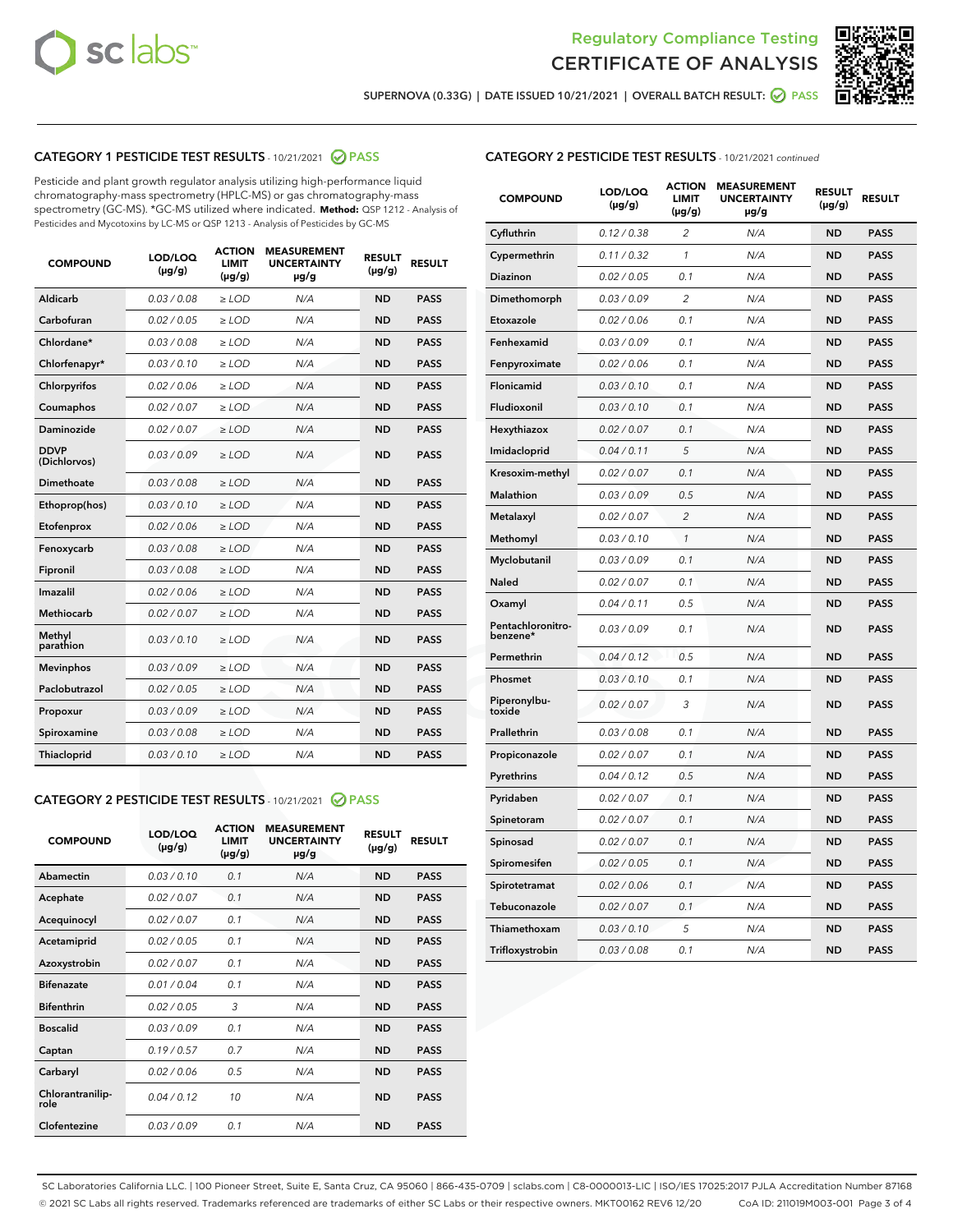



SUPERNOVA (0.33G) | DATE ISSUED 10/21/2021 | OVERALL BATCH RESULT:  $\bigcirc$  PASS

## CATEGORY 1 PESTICIDE TEST RESULTS - 10/21/2021 2 PASS

Pesticide and plant growth regulator analysis utilizing high-performance liquid chromatography-mass spectrometry (HPLC-MS) or gas chromatography-mass spectrometry (GC-MS). \*GC-MS utilized where indicated. **Method:** QSP 1212 - Analysis of Pesticides and Mycotoxins by LC-MS or QSP 1213 - Analysis of Pesticides by GC-MS

| <b>COMPOUND</b>             | LOD/LOQ<br>$(\mu g/g)$ | <b>ACTION</b><br><b>LIMIT</b><br>$(\mu g/g)$ | <b>MEASUREMENT</b><br><b>UNCERTAINTY</b><br>µg/g | <b>RESULT</b><br>$(\mu g/g)$ | <b>RESULT</b> |
|-----------------------------|------------------------|----------------------------------------------|--------------------------------------------------|------------------------------|---------------|
| Aldicarb                    | 0.03/0.08              | $>$ LOD                                      | N/A                                              | <b>ND</b>                    | <b>PASS</b>   |
| Carbofuran                  | 0.02 / 0.05            | $\ge$ LOD                                    | N/A                                              | <b>ND</b>                    | <b>PASS</b>   |
| Chlordane*                  | 0.03/0.08              | $>$ LOD                                      | N/A                                              | <b>ND</b>                    | <b>PASS</b>   |
| Chlorfenapyr*               | 0.03/0.10              | $\geq$ LOD                                   | N/A                                              | <b>ND</b>                    | <b>PASS</b>   |
| Chlorpyrifos                | 0.02 / 0.06            | $\ge$ LOD                                    | N/A                                              | <b>ND</b>                    | <b>PASS</b>   |
| Coumaphos                   | 0.02 / 0.07            | $\ge$ LOD                                    | N/A                                              | <b>ND</b>                    | <b>PASS</b>   |
| Daminozide                  | 0.02 / 0.07            | $\ge$ LOD                                    | N/A                                              | <b>ND</b>                    | <b>PASS</b>   |
| <b>DDVP</b><br>(Dichlorvos) | 0.03/0.09              | $\ge$ LOD                                    | N/A                                              | <b>ND</b>                    | <b>PASS</b>   |
| <b>Dimethoate</b>           | 0.03 / 0.08            | $\ge$ LOD                                    | N/A                                              | <b>ND</b>                    | <b>PASS</b>   |
| Ethoprop(hos)               | 0.03/0.10              | $\ge$ LOD                                    | N/A                                              | <b>ND</b>                    | <b>PASS</b>   |
| Etofenprox                  | 0.02 / 0.06            | $\ge$ LOD                                    | N/A                                              | <b>ND</b>                    | <b>PASS</b>   |
| Fenoxycarb                  | 0.03 / 0.08            | $\ge$ LOD                                    | N/A                                              | <b>ND</b>                    | <b>PASS</b>   |
| Fipronil                    | 0.03/0.08              | $>$ LOD                                      | N/A                                              | <b>ND</b>                    | <b>PASS</b>   |
| Imazalil                    | 0.02 / 0.06            | $\ge$ LOD                                    | N/A                                              | <b>ND</b>                    | <b>PASS</b>   |
| Methiocarb                  | 0.02 / 0.07            | $\ge$ LOD                                    | N/A                                              | <b>ND</b>                    | <b>PASS</b>   |
| Methyl<br>parathion         | 0.03/0.10              | $\ge$ LOD                                    | N/A                                              | <b>ND</b>                    | <b>PASS</b>   |
| <b>Mevinphos</b>            | 0.03/0.09              | $\ge$ LOD                                    | N/A                                              | <b>ND</b>                    | <b>PASS</b>   |
| Paclobutrazol               | 0.02 / 0.05            | $>$ LOD                                      | N/A                                              | <b>ND</b>                    | <b>PASS</b>   |
| Propoxur                    | 0.03/0.09              | $\ge$ LOD                                    | N/A                                              | <b>ND</b>                    | <b>PASS</b>   |
| Spiroxamine                 | 0.03 / 0.08            | $\ge$ LOD                                    | N/A                                              | <b>ND</b>                    | <b>PASS</b>   |
| Thiacloprid                 | 0.03/0.10              | $\ge$ LOD                                    | N/A                                              | <b>ND</b>                    | <b>PASS</b>   |

#### CATEGORY 2 PESTICIDE TEST RESULTS - 10/21/2021 @ PASS

| <b>COMPOUND</b>          | LOD/LOQ<br>$(\mu g/g)$ | <b>ACTION</b><br>LIMIT<br>$(\mu g/g)$ | <b>MEASUREMENT</b><br><b>UNCERTAINTY</b><br>$\mu$ g/g | <b>RESULT</b><br>$(\mu g/g)$ | <b>RESULT</b> |
|--------------------------|------------------------|---------------------------------------|-------------------------------------------------------|------------------------------|---------------|
| Abamectin                | 0.03/0.10              | 0.1                                   | N/A                                                   | <b>ND</b>                    | <b>PASS</b>   |
| Acephate                 | 0.02/0.07              | 0.1                                   | N/A                                                   | <b>ND</b>                    | <b>PASS</b>   |
| Acequinocyl              | 0.02/0.07              | 0.1                                   | N/A                                                   | <b>ND</b>                    | <b>PASS</b>   |
| Acetamiprid              | 0.02/0.05              | 0.1                                   | N/A                                                   | <b>ND</b>                    | <b>PASS</b>   |
| Azoxystrobin             | 0.02/0.07              | 0.1                                   | N/A                                                   | <b>ND</b>                    | <b>PASS</b>   |
| <b>Bifenazate</b>        | 0.01 / 0.04            | 0.1                                   | N/A                                                   | <b>ND</b>                    | <b>PASS</b>   |
| <b>Bifenthrin</b>        | 0.02 / 0.05            | 3                                     | N/A                                                   | <b>ND</b>                    | <b>PASS</b>   |
| <b>Boscalid</b>          | 0.03/0.09              | 0.1                                   | N/A                                                   | <b>ND</b>                    | <b>PASS</b>   |
| Captan                   | 0.19/0.57              | 0.7                                   | N/A                                                   | <b>ND</b>                    | <b>PASS</b>   |
| Carbaryl                 | 0.02/0.06              | 0.5                                   | N/A                                                   | <b>ND</b>                    | <b>PASS</b>   |
| Chlorantranilip-<br>role | 0.04/0.12              | 10                                    | N/A                                                   | <b>ND</b>                    | <b>PASS</b>   |
| Clofentezine             | 0.03/0.09              | 0 <sub>1</sub>                        | N/A                                                   | <b>ND</b>                    | <b>PASS</b>   |

| <b>CATEGORY 2 PESTICIDE TEST RESULTS</b> - 10/21/2021 continued |  |  |
|-----------------------------------------------------------------|--|--|
|                                                                 |  |  |

| <b>COMPOUND</b>               | LOD/LOQ<br>(µg/g) | <b>ACTION</b><br><b>LIMIT</b><br>(µg/g) | <b>MEASUREMENT</b><br><b>UNCERTAINTY</b><br>µg/g | <b>RESULT</b><br>(µg/g) | <b>RESULT</b> |
|-------------------------------|-------------------|-----------------------------------------|--------------------------------------------------|-------------------------|---------------|
| Cyfluthrin                    | 0.12 / 0.38       | $\overline{c}$                          | N/A                                              | <b>ND</b>               | <b>PASS</b>   |
| Cypermethrin                  | 0.11/0.32         | 1                                       | N/A                                              | <b>ND</b>               | <b>PASS</b>   |
| <b>Diazinon</b>               | 0.02 / 0.05       | 0.1                                     | N/A                                              | <b>ND</b>               | <b>PASS</b>   |
| Dimethomorph                  | 0.03 / 0.09       | 2                                       | N/A                                              | <b>ND</b>               | <b>PASS</b>   |
| Etoxazole                     | 0.02 / 0.06       | 0.1                                     | N/A                                              | <b>ND</b>               | <b>PASS</b>   |
| Fenhexamid                    | 0.03 / 0.09       | 0.1                                     | N/A                                              | <b>ND</b>               | <b>PASS</b>   |
| Fenpyroximate                 | 0.02 / 0.06       | 0.1                                     | N/A                                              | <b>ND</b>               | <b>PASS</b>   |
| Flonicamid                    | 0.03 / 0.10       | 0.1                                     | N/A                                              | <b>ND</b>               | <b>PASS</b>   |
| Fludioxonil                   | 0.03/0.10         | 0.1                                     | N/A                                              | <b>ND</b>               | <b>PASS</b>   |
| Hexythiazox                   | 0.02 / 0.07       | 0.1                                     | N/A                                              | <b>ND</b>               | <b>PASS</b>   |
| Imidacloprid                  | 0.04 / 0.11       | 5                                       | N/A                                              | <b>ND</b>               | <b>PASS</b>   |
| Kresoxim-methyl               | 0.02 / 0.07       | 0.1                                     | N/A                                              | <b>ND</b>               | <b>PASS</b>   |
| Malathion                     | 0.03 / 0.09       | 0.5                                     | N/A                                              | <b>ND</b>               | <b>PASS</b>   |
| Metalaxyl                     | 0.02 / 0.07       | $\overline{c}$                          | N/A                                              | <b>ND</b>               | <b>PASS</b>   |
| Methomyl                      | 0.03 / 0.10       | 1                                       | N/A                                              | <b>ND</b>               | <b>PASS</b>   |
| Myclobutanil                  | 0.03/0.09         | 0.1                                     | N/A                                              | <b>ND</b>               | <b>PASS</b>   |
| Naled                         | 0.02 / 0.07       | 0.1                                     | N/A                                              | <b>ND</b>               | <b>PASS</b>   |
| Oxamyl                        | 0.04 / 0.11       | 0.5                                     | N/A                                              | <b>ND</b>               | <b>PASS</b>   |
| Pentachloronitro-<br>benzene* | 0.03/0.09         | 0.1                                     | N/A                                              | <b>ND</b>               | <b>PASS</b>   |
| Permethrin                    | 0.04 / 0.12       | 0.5                                     | N/A                                              | <b>ND</b>               | <b>PASS</b>   |
| Phosmet                       | 0.03 / 0.10       | 0.1                                     | N/A                                              | <b>ND</b>               | <b>PASS</b>   |
| Piperonylbu-<br>toxide        | 0.02 / 0.07       | 3                                       | N/A                                              | <b>ND</b>               | <b>PASS</b>   |
| Prallethrin                   | 0.03 / 0.08       | 0.1                                     | N/A                                              | <b>ND</b>               | <b>PASS</b>   |
| Propiconazole                 | 0.02 / 0.07       | 0.1                                     | N/A                                              | <b>ND</b>               | <b>PASS</b>   |
| Pyrethrins                    | 0.04 / 0.12       | 0.5                                     | N/A                                              | <b>ND</b>               | <b>PASS</b>   |
| Pyridaben                     | 0.02 / 0.07       | 0.1                                     | N/A                                              | <b>ND</b>               | <b>PASS</b>   |
| Spinetoram                    | 0.02 / 0.07       | 0.1                                     | N/A                                              | <b>ND</b>               | <b>PASS</b>   |
| Spinosad                      | 0.02 / 0.07       | 0.1                                     | N/A                                              | <b>ND</b>               | <b>PASS</b>   |
| Spiromesifen                  | 0.02 / 0.05       | 0.1                                     | N/A                                              | <b>ND</b>               | <b>PASS</b>   |
| Spirotetramat                 | 0.02 / 0.06       | 0.1                                     | N/A                                              | <b>ND</b>               | <b>PASS</b>   |
| Tebuconazole                  | 0.02 / 0.07       | 0.1                                     | N/A                                              | <b>ND</b>               | <b>PASS</b>   |
| Thiamethoxam                  | 0.03 / 0.10       | 5                                       | N/A                                              | <b>ND</b>               | <b>PASS</b>   |
| Trifloxystrobin               | 0.03 / 0.08       | 0.1                                     | N/A                                              | <b>ND</b>               | <b>PASS</b>   |

SC Laboratories California LLC. | 100 Pioneer Street, Suite E, Santa Cruz, CA 95060 | 866-435-0709 | sclabs.com | C8-0000013-LIC | ISO/IES 17025:2017 PJLA Accreditation Number 87168 © 2021 SC Labs all rights reserved. Trademarks referenced are trademarks of either SC Labs or their respective owners. MKT00162 REV6 12/20 CoA ID: 211019M003-001 Page 3 of 4